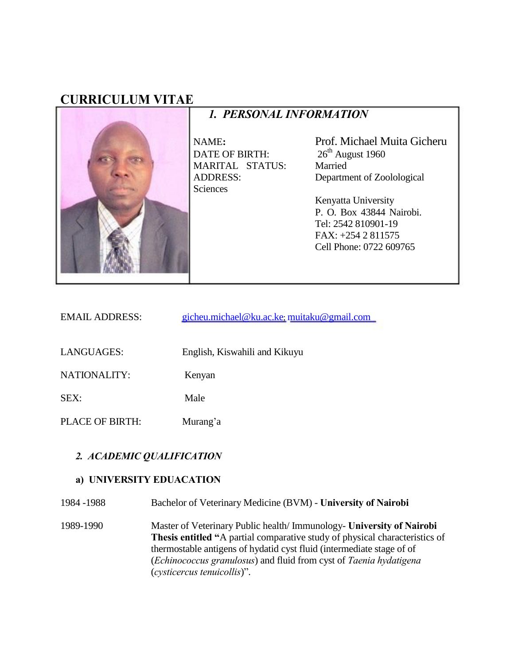# **CURRICULUM VITAE**



*1. PERSONAL INFORMATION*

NAME**:** DATE OF BIRTH: MARITAL STATUS: ADDRESS: Sciences

Prof. Michael Muita Gicheru  $26<sup>th</sup>$  August 1960 Married Department of Zoolological

Kenyatta University P. O. Box 43844 Nairobi. Tel: 2542 810901-19 FAX: +254 2 811575 Cell Phone: 0722 609765

| <b>EMAIL ADDRESS:</b> | gicheu.michael@ku.ac.ke; muitaku@gmail.com |
|-----------------------|--------------------------------------------|
|                       |                                            |

LANGUAGES: English, Kiswahili and Kikuyu

NATIONALITY: Kenyan

SEX: Male

PLACE OF BIRTH: Murang'a

#### *2. ACADEMIC QUALIFICATION*

#### **a) UNIVERSITY EDUACATION**

| 1984 - 1988 | Bachelor of Veterinary Medicine (BVM) - University of Nairobi |  |  |
|-------------|---------------------------------------------------------------|--|--|
|             |                                                               |  |  |

1989-1990 Master of Veterinary Public health/ Immunology- **University of Nairobi Thesis entitled "**A partial comparative study of physical characteristics of thermostable antigens of hydatid cyst fluid (intermediate stage of of (*Echinococcus granulosus*) and fluid from cyst of *Taenia hydatigena*  (*cysticercus tenuicollis*)".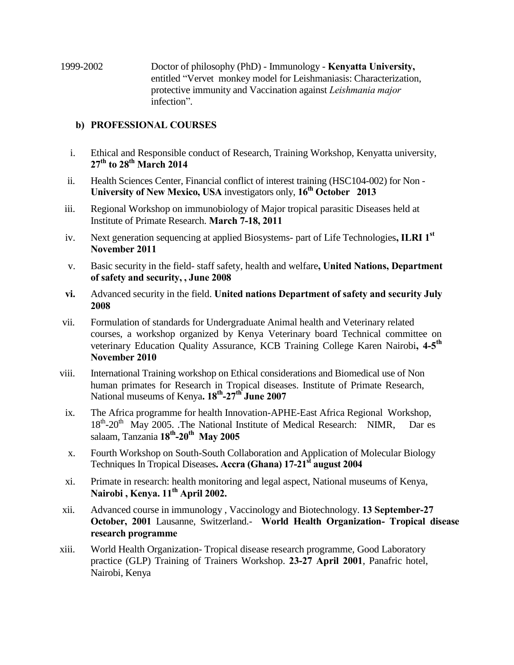1999-2002 Doctor of philosophy (PhD) - Immunology - **Kenyatta University,** entitled "Vervet monkey model for Leishmaniasis: Characterization, protective immunity and Vaccination against *Leishmania major* infection".

#### **b) PROFESSIONAL COURSES**

- i. Ethical and Responsible conduct of Research, Training Workshop, Kenyatta university, **27th to 28th March 2014**
- ii. Health Sciences Center, Financial conflict of interest training (HSC104-002) for Non **University of New Mexico, USA** investigators only, **16th October 2013**
- iii. Regional Workshop on immunobiology of Major tropical parasitic Diseases held at Institute of Primate Research. **March 7-18, 2011**
- iv. Next generation sequencing at applied Biosystems- part of Life Technologies**, ILRI 1st November 2011**
- v. Basic security in the field- staff safety, health and welfare**, United Nations, Department of safety and security, , June 2008**
- **vi.** Advanced security in the field. **United nations Department of safety and security July 2008**
- vii. Formulation of standards for Undergraduate Animal health and Veterinary related courses, a workshop organized by Kenya Veterinary board Technical committee on veterinary Education Quality Assurance, KCB Training College Karen Nairobi, 4-5<sup>th</sup> **November 2010**
- viii. International Training workshop on Ethical considerations and Biomedical use of Non human primates for Research in Tropical diseases. Institute of Primate Research, National museums of Kenya**. 18th -27th June 2007**
- ix. The Africa programme for health Innovation-APHE-East Africa Regional Workshop, 18<sup>th</sup>-20<sup>th</sup> May 2005. .The National Institute of Medical Research: NIMR, Dar es salaam, Tanzania **18th -20th May 2005**
- x. Fourth Workshop on South-South Collaboration and Application of Molecular Biology Techniques In Tropical Diseases**. Accra (Ghana) 17-21st august 2004**
- xi. Primate in research: health monitoring and legal aspect, National museums of Kenya, **Nairobi , Kenya. 11th April 2002.**
- xii. Advanced course in immunology , Vaccinology and Biotechnology. **13 September-27 October, 2001** Lausanne, Switzerland.- **World Health Organization- Tropical disease research programme**
- xiii. World Health Organization- Tropical disease research programme, Good Laboratory practice (GLP) Training of Trainers Workshop. **23-27 April 2001**, Panafric hotel, Nairobi, Kenya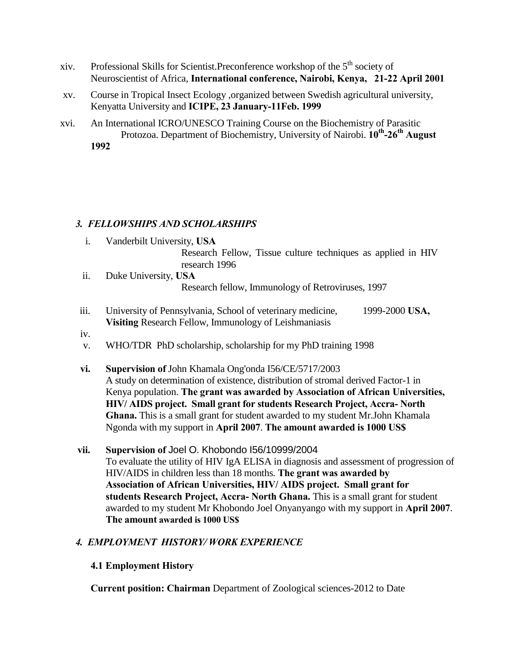- xiv. Professional Skills for Scientist.Preconference workshop of the 5<sup>th</sup> society of Neuroscientist of Africa, **International conference, Nairobi, Kenya, 21-22 April 2001**
- xv. Course in Tropical Insect Ecology ,organized between Swedish agricultural university, Kenyatta University and **ICIPE, 23 January-11Feb. 1999**
- xvi. An International ICRO/UNESCO Training Course on the Biochemistry of Parasitic Protozoa. Department of Biochemistry, University of Nairobi. **10th -26th August 1992**

### *3. FELLOWSHIPS AND SCHOLARSHIPS*

- i. Vanderbilt University, **USA** Research Fellow, Tissue culture techniques as applied in HIV research 1996
- ii. Duke University, **USA** Research fellow, Immunology of Retroviruses, 1997
- iii. University of Pennsylvania, School of veterinary medicine, 1999-2000 **USA, Visiting** Research Fellow, Immunology of Leishmaniasis
- iv.
- v. WHO/TDR PhD scholarship, scholarship for my PhD training 1998
- **vi. Supervision of** John Khamala Ong'onda I56/CE/5717/2003 A study on determination of existence, distribution of stromal derived Factor-1 in Kenya population. **The grant was awarded by Association of African Universities, HIV/ AIDS project. Small grant for students Research Project, Accra- North Ghana.** This is a small grant for student awarded to my student Mr.John Khamala Ngonda with my support in **April 2007**. **The amount awarded is 1000 US\$**
- **vii. Supervision of** Joel O. Khobondo I56/10999/2004 To evaluate the utility of HIV IgA ELISA in diagnosis and assessment of progression of HIV/AIDS in children less than 18 months. **The grant was awarded by Association of African Universities, HIV/ AIDS project. Small grant for students Research Project, Accra- North Ghana.** This is a small grant for student awarded to my student Mr Khobondo Joel Onyanyango with my support in **April 2007**. **The amount awarded is 1000 US\$**

### *4. EMPLOYMENT HISTORY/ WORK EXPERIENCE*

### **4.1 Employment History**

**Current position: Chairman** Department of Zoological sciences-2012 to Date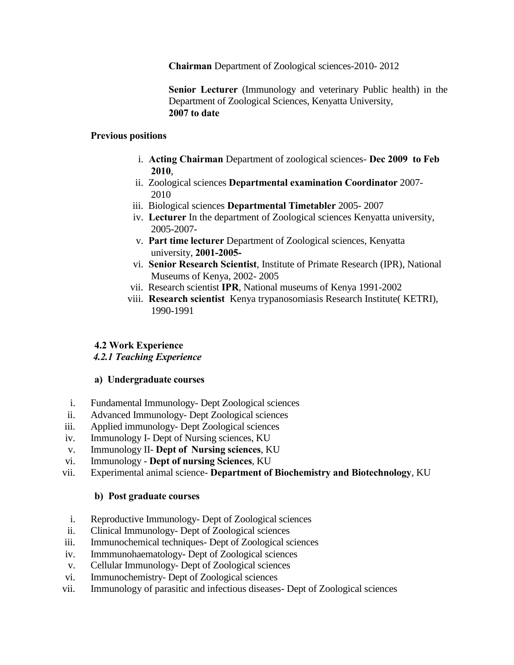**Chairman** Department of Zoological sciences-2010- 2012

**Senior Lecturer** (Immunology and veterinary Public health) in the Department of Zoological Sciences, Kenyatta University, **2007 to date** 

#### **Previous positions**

- i. **Acting Chairman** Department of zoological sciences- **Dec 2009 to Feb 2010**,
- ii. Zoological sciences **Departmental examination Coordinator** 2007- 2010
- iii. Biological sciences **Departmental Timetabler** 2005- 2007
- iv. **Lecturer** In the department of Zoological sciences Kenyatta university, 2005-2007-
- v. **Part time lecturer** Department of Zoological sciences, Kenyatta university, **2001-2005-**
- vi. **Senior Research Scientist**, Institute of Primate Research (IPR), National Museums of Kenya, 2002- 2005
- vii. Research scientist **IPR**, National museums of Kenya 1991-2002
- viii. **Research scientist** Kenya trypanosomiasis Research Institute( KETRI), 1990-1991

### **4.2 Work Experience**

### *4.2.1 Teaching Experience*

### **a) Undergraduate courses**

- i. Fundamental Immunology- Dept Zoological sciences
- ii. Advanced Immunology- Dept Zoological sciences
- iii. Applied immunology- Dept Zoological sciences
- iv. Immunology I- Dept of Nursing sciences, KU
- v. Immunology II- **Dept of Nursing sciences**, KU
- vi. Immunology **Dept of nursing Sciences**, KU
- vii. Experimental animal science- **Department of Biochemistry and Biotechnology**, KU

#### **b) Post graduate courses**

- i. Reproductive Immunology- Dept of Zoological sciences
- ii. Clinical Immunology- Dept of Zoological sciences
- iii. Immunochemical techniques- Dept of Zoological sciences
- iv. Immmunohaematology- Dept of Zoological sciences
- v. Cellular Immunology- Dept of Zoological sciences
- vi. Immunochemistry- Dept of Zoological sciences
- vii. Immunology of parasitic and infectious diseases- Dept of Zoological sciences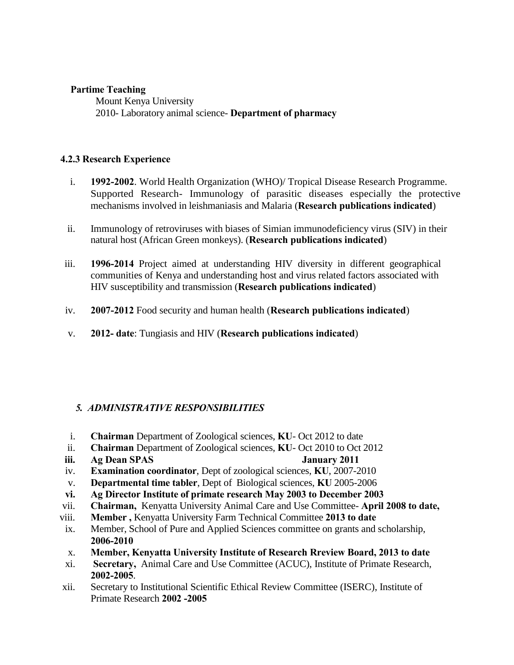#### **Partime Teaching**

Mount Kenya University 2010- Laboratory animal science- **Department of pharmacy** 

#### **4.2.3 Research Experience**

- i. **1992-2002**. World Health Organization (WHO)/ Tropical Disease Research Programme. Supported Research- Immunology of parasitic diseases especially the protective mechanisms involved in leishmaniasis and Malaria (**Research publications indicated**)
- ii. Immunology of retroviruses with biases of Simian immunodeficiency virus (SIV) in their natural host (African Green monkeys). (**Research publications indicated**)
- iii. **1996-2014** Project aimed at understanding HIV diversity in different geographical communities of Kenya and understanding host and virus related factors associated with HIV susceptibility and transmission (**Research publications indicated**)
- iv. **2007-2012** Food security and human health (**Research publications indicated**)
- v. **2012- date**: Tungiasis and HIV (**Research publications indicated**)

### *5. ADMINISTRATIVE RESPONSIBILITIES*

- i. **Chairman** Department of Zoological sciences, **KU** Oct 2012 to date
- ii. **Chairman** Department of Zoological sciences, **KU** Oct 2010 to Oct 2012
- **iii. Ag Dean SPAS January 2011**
- iv. **Examination coordinator**, Dept of zoological sciences, **KU**, 2007-2010
- v. **Departmental time tabler**, Dept of Biological sciences, **KU** 2005-2006
- **vi. Ag Director Institute of primate research May 2003 to December 2003**
- vii. **Chairman,** Kenyatta University Animal Care and Use Committee- **April 2008 to date,**
- viii. **Member ,** Kenyatta University Farm Technical Committee **2013 to date**
- ix. Member, School of Pure and Applied Sciences committee on grants and scholarship, **2006-2010**
- x. **Member, Kenyatta University Institute of Research Rreview Board, 2013 to date**
- xi. **Secretary,** Animal Care and Use Committee (ACUC), Institute of Primate Research, **2002-2005**.
- xii. Secretary to Institutional Scientific Ethical Review Committee (ISERC), Institute of Primate Research **2002 -2005**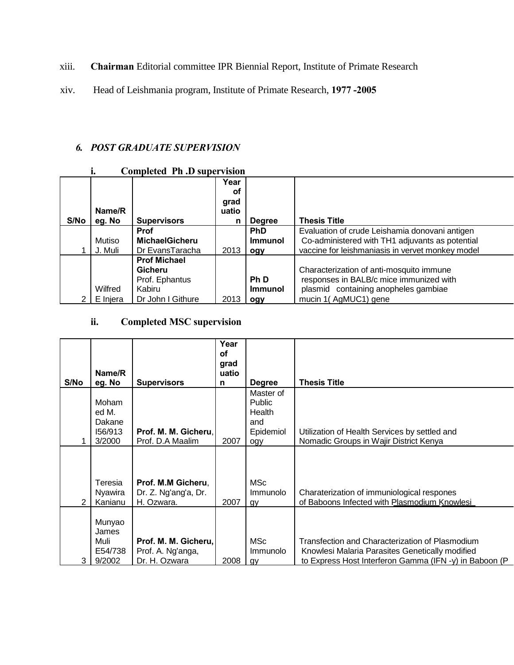xiii. **Chairman** Editorial committee IPR Biennial Report, Institute of Primate Research

xiv. Head of Leishmania program, Institute of Primate Research, **1977 -2005**

### *6. POST GRADUATE SUPERVISION*

### **i. Completed Ph .D supervision**

|      | Name/R   |                       | Year<br>οf<br>grad<br>uatio |                |                                                  |
|------|----------|-----------------------|-----------------------------|----------------|--------------------------------------------------|
| S/No | eg. No   | <b>Supervisors</b>    | n                           | <b>Degree</b>  | <b>Thesis Title</b>                              |
|      |          | <b>Prof</b>           |                             | <b>PhD</b>     | Evaluation of crude Leishamia donovani antigen   |
|      | Mutiso   | <b>MichaelGicheru</b> |                             | <b>Immunol</b> | Co-administered with TH1 adjuvants as potential  |
|      | J. Muli  | Dr EvansTaracha       | 2013                        | ogy            | vaccine for leishmaniasis in vervet monkey model |
|      |          | <b>Prof Michael</b>   |                             |                |                                                  |
|      |          | Gicheru               |                             |                | Characterization of anti-mosquito immune         |
|      |          | Prof. Ephantus        |                             | <b>PhD</b>     | responses in BALB/c mice immunized with          |
|      | Wilfred  | Kabiru                |                             | <b>Immunol</b> | plasmid containing anopheles gambiae             |
|      | E Injera | Dr John I Githure     | 2013                        | ogy            | mucin 1(AgMUC1) gene                             |

### **ii. Completed MSC supervision**

| S/No | Name/R<br>eg. No                              | <b>Supervisors</b>                                         | Year<br>οf<br>grad<br>uatio<br>n | <b>Degree</b>                                            | <b>Thesis Title</b>                                                                                                                                          |
|------|-----------------------------------------------|------------------------------------------------------------|----------------------------------|----------------------------------------------------------|--------------------------------------------------------------------------------------------------------------------------------------------------------------|
|      | Moham<br>ed M.<br>Dakane<br>156/913<br>3/2000 | Prof. M. M. Gicheru.<br>Prof. D.A Maalim                   | 2007                             | Master of<br>Public<br>Health<br>and<br>Epidemiol<br>ogy | Utilization of Health Services by settled and<br>Nomadic Groups in Wajir District Kenya                                                                      |
| 2    | Teresia<br>Nyawira<br>Kanianu                 | Prof. M.M Gicheru,<br>Dr. Z. Ng'ang'a, Dr.<br>H. Ozwara.   | 2007                             | <b>MSc</b><br>Immunolo<br>gy                             | Charaterization of immuniological respones<br>of Baboons Infected with Plasmodium Knowlesi                                                                   |
| 3    | Munyao<br>James<br>Muli<br>E54/738<br>9/2002  | Prof. M. M. Gicheru,<br>Prof. A. Ng'anga,<br>Dr. H. Ozwara | 2008                             | <b>MSc</b><br><b>Immunolo</b><br>qy                      | Transfection and Characterization of Plasmodium<br>Knowlesi Malaria Parasites Genetically modified<br>to Express Host Interferon Gamma (IFN -y) in Baboon (P |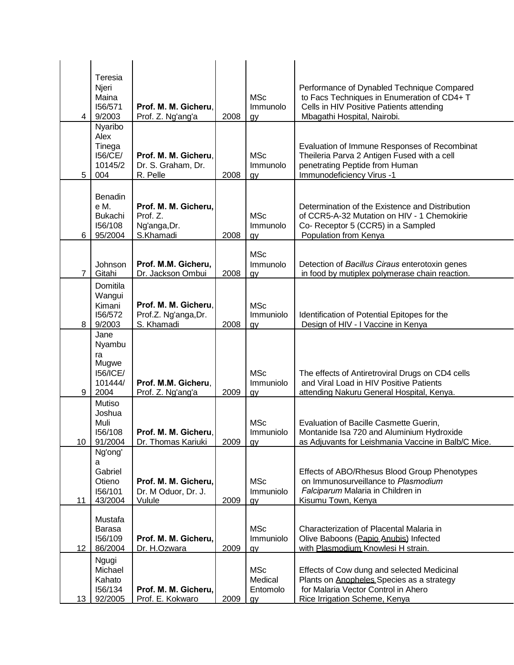| $\overline{4}$   | Teresia<br>Njeri<br>Maina<br>156/571<br>9/2003<br>Nyaribo           | Prof. M. M. Gicheru.<br>Prof. Z. Ng'ang'a                     | 2008 | <b>MSc</b><br>Immunolo<br>gy            | Performance of Dynabled Technique Compared<br>to Facs Techniques in Enumeration of CD4+ T<br>Cells in HIV Positive Patients attending<br>Mbagathi Hospital, Nairobi. |
|------------------|---------------------------------------------------------------------|---------------------------------------------------------------|------|-----------------------------------------|----------------------------------------------------------------------------------------------------------------------------------------------------------------------|
| 5                | Alex<br>Tinega<br>156/CE/<br>10145/2<br>004                         | Prof. M. M. Gicheru.<br>Dr. S. Graham, Dr.<br>R. Pelle        | 2008 | <b>MSc</b><br>Immunolo<br>gy            | Evaluation of Immune Responses of Recombinat<br>Theileria Parva 2 Antigen Fused with a cell<br>penetrating Peptide from Human<br>Immunodeficiency Virus -1           |
| 6                | Benadin<br>e M.<br><b>Bukachi</b><br>156/108<br>95/2004             | Prof. M. M. Gicheru,<br>Prof. Z.<br>Ng'anga, Dr.<br>S.Khamadi | 2008 | <b>MSc</b><br>Immunolo<br>gy            | Determination of the Existence and Distribution<br>of CCR5-A-32 Mutation on HIV - 1 Chemokirie<br>Co- Receptor 5 (CCR5) in a Sampled<br>Population from Kenya        |
| $\overline{7}$   | Johnson<br>Gitahi                                                   | Prof. M.M. Gicheru,<br>Dr. Jackson Ombui                      | 2008 | <b>MSc</b><br>Immunolo<br>gy            | Detection of Bacillus Ciraus enterotoxin genes<br>in food by mutiplex polymerase chain reaction.                                                                     |
| 8                | Domitila<br>Wangui<br>Kimani<br>156/572<br>9/2003                   | Prof. M. M. Gicheru,<br>Prof.Z. Ng'anga, Dr.<br>S. Khamadi    | 2008 | <b>MSc</b><br>Immuniolo<br>gy           | Identification of Potential Epitopes for the<br>Design of HIV - I Vaccine in Kenya                                                                                   |
| 9                | Jane<br>Nyambu<br>ra<br>Mugwe<br><b>I56/ICE/</b><br>101444/<br>2004 | Prof. M.M. Gicheru,<br>Prof. Z. Ng'ang'a                      | 2009 | <b>MSc</b><br>Immuniolo<br>gy           | The effects of Antiretroviral Drugs on CD4 cells<br>and Viral Load in HIV Positive Patients<br>attending Nakuru General Hospital, Kenya.                             |
| 10 <sup>°</sup>  | Mutiso<br>Joshua<br>Muli<br>156/108<br>91/2004                      | Prof. M. M. Gicheru,<br>Dr. Thomas Kariuki                    | 2009 | <b>MSc</b><br>Immuniolo<br>gy           | Evaluation of Bacille Casmette Guerin,<br>Montanide Isa 720 and Aluminium Hydroxide<br>as Adjuvants for Leishmania Vaccine in Balb/C Mice.                           |
| 11               | Ng'ong'<br>a<br>Gabriel<br>Otieno<br>156/101<br>43/2004             | Prof. M. M. Gicheru,<br>Dr. M Oduor, Dr. J.<br>Vulule         | 2009 | <b>MSc</b><br>Immuniolo<br>gy           | Effects of ABO/Rhesus Blood Group Phenotypes<br>on Immunosurveillance to Plasmodium<br>Falciparum Malaria in Children in<br>Kisumu Town, Kenya                       |
| 12 <sup>12</sup> | Mustafa<br>Barasa<br>156/109<br>86/2004                             | Prof. M. M. Gicheru,<br>Dr. H.Ozwara                          | 2009 | <b>MSc</b><br>Immuniolo<br>gy           | Characterization of Placental Malaria in<br>Olive Baboons (Papio Anubis) Infected<br>with Plasmodium Knowlesi H strain.                                              |
| 13               | Ngugi<br>Michael<br>Kahato<br>156/134<br>92/2005                    | Prof. M. M. Gicheru,<br>Prof. E. Kokwaro                      | 2009 | <b>MSc</b><br>Medical<br>Entomolo<br>gy | Effects of Cow dung and selected Medicinal<br>Plants on Anopheles Species as a strategy<br>for Malaria Vector Control in Ahero<br>Rice Irrigation Scheme, Kenya      |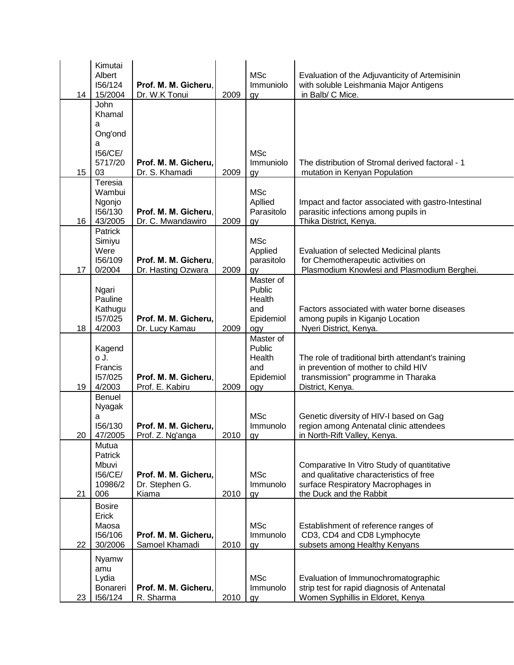| 14               | Kimutai<br>Albert<br>156/124<br>15/2004                         | Prof. M. M. Gicheru,<br>Dr. W.K Tonui           | 2009   | <b>MSc</b><br>Immuniolo<br>gy                            | Evaluation of the Adjuvanticity of Artemisinin<br>with soluble Leishmania Major Antigens<br>in Balb/ C Mice.                                           |
|------------------|-----------------------------------------------------------------|-------------------------------------------------|--------|----------------------------------------------------------|--------------------------------------------------------------------------------------------------------------------------------------------------------|
| 15 <sub>15</sub> | John<br>Khamal<br>a<br>Ong'ond<br>a<br>156/CE/<br>5717/20<br>03 | Prof. M. M. Gicheru,<br>Dr. S. Khamadi          | 2009   | <b>MSc</b><br>Immuniolo<br>gy                            | The distribution of Stromal derived factoral - 1<br>mutation in Kenyan Population                                                                      |
| 16               | Teresia<br>Wambui<br>Ngonjo<br>156/130<br>43/2005               | Prof. M. M. Gicheru,<br>Dr. C. Mwandawiro       | 2009   | <b>MSc</b><br>Apllied<br>Parasitolo<br>gy                | Impact and factor associated with gastro-Intestinal<br>parasitic infections among pupils in<br>Thika District, Kenya.                                  |
| 17               | Patrick<br>Simiyu<br>Were<br>156/109<br>0/2004                  | Prof. M. M. Gicheru,<br>Dr. Hasting Ozwara      | 2009   | <b>MSc</b><br>Applied<br>parasitolo<br>gy                | Evaluation of selected Medicinal plants<br>for Chemotherapeutic activities on<br>Plasmodium Knowlesi and Plasmodium Berghei.                           |
| 18               | Ngari<br>Pauline<br>Kathugu<br>157/025<br>4/2003                | Prof. M. M. Gicheru,<br>Dr. Lucy Kamau          | 2009   | Master of<br>Public<br>Health<br>and<br>Epidemiol<br>ogy | Factors associated with water borne diseases<br>among pupils in Kiganjo Location<br>Nyeri District, Kenya.                                             |
| 19               | Kagend<br>o J.<br>Francis<br>157/025<br>4/2003                  | Prof. M. M. Gicheru,<br>Prof. E. Kabiru         | 2009   | Master of<br>Public<br>Health<br>and<br>Epidemiol<br>ogy | The role of traditional birth attendant's training<br>in prevention of mother to child HIV<br>transmission" programme in Tharaka<br>District, Kenya.   |
| 20 I             | Benuel<br>Nyagak<br>a<br>156/130<br>47/2005                     | Prof. M. M. Gicheru,<br>Prof. Z. Ng'anga        | 2010 I | <b>MSc</b><br>Immunolo<br><b>OV</b>                      | Genetic diversity of HIV-I based on Gag<br>region among Antenatal clinic attendees<br>in North-Rift Valley, Kenya.                                     |
| 21               | Mutua<br>Patrick<br>Mbuvi<br>156/CE/<br>10986/2<br>006          | Prof. M. M. Gicheru,<br>Dr. Stephen G.<br>Kiama | 2010   | <b>MSc</b><br>Immunolo<br>gy                             | Comparative In Vitro Study of quantitative<br>and qualitative characteristics of free<br>surface Respiratory Macrophages in<br>the Duck and the Rabbit |
| 22               | <b>Bosire</b><br>Erick<br>Maosa<br>156/106<br>30/2006           | Prof. M. M. Gicheru,<br>Samoel Khamadi          | 2010   | <b>MSc</b><br>Immunolo<br>gy                             | Establishment of reference ranges of<br>CD3, CD4 and CD8 Lymphocyte<br>subsets among Healthy Kenyans                                                   |
| 23               | Nyamw<br>amu<br>Lydia<br>Bonareri<br>156/124                    | Prof. M. M. Gicheru,<br>R. Sharma               | 2010   | <b>MSc</b><br>Immunolo<br>gy                             | Evaluation of Immunochromatographic<br>strip test for rapid diagnosis of Antenatal<br>Women Syphillis in Eldoret, Kenya                                |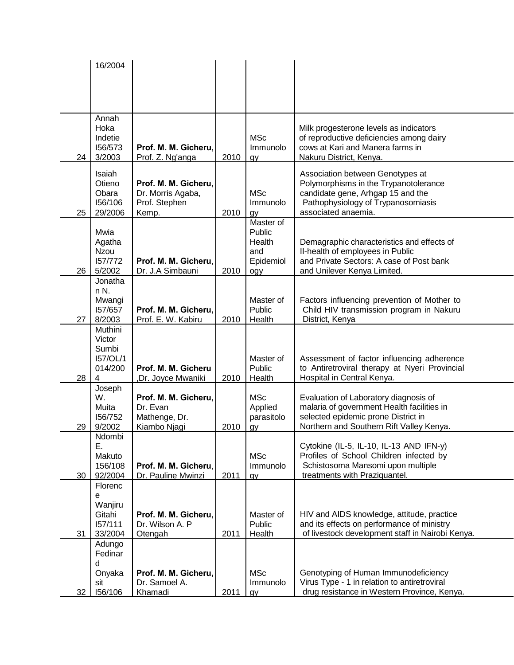|    | 16/2004                   |                                          |      |                        |                                                                                             |
|----|---------------------------|------------------------------------------|------|------------------------|---------------------------------------------------------------------------------------------|
|    |                           |                                          |      |                        |                                                                                             |
|    |                           |                                          |      |                        |                                                                                             |
|    |                           |                                          |      |                        |                                                                                             |
|    | Annah                     |                                          |      |                        |                                                                                             |
|    | Hoka<br>Indetie           |                                          |      | <b>MSc</b>             | Milk progesterone levels as indicators<br>of reproductive deficiencies among dairy          |
|    | 156/573                   | Prof. M. M. Gicheru,                     |      | Immunolo               | cows at Kari and Manera farms in                                                            |
| 24 | 3/2003                    | Prof. Z. Ng'anga                         | 2010 | gy                     | Nakuru District, Kenya.                                                                     |
|    | Isaiah                    |                                          |      |                        | Association between Genotypes at                                                            |
|    | Otieno                    | Prof. M. M. Gicheru,                     |      |                        | Polymorphisms in the Trypanotolerance                                                       |
|    | Obara<br>156/106          | Dr. Morris Agaba,                        |      | <b>MSc</b>             | candidate gene, Arhgap 15 and the                                                           |
| 25 | 29/2006                   | Prof. Stephen<br>Kemp.                   | 2010 | Immunolo<br>gy         | Pathophysiology of Trypanosomiasis<br>associated anaemia.                                   |
|    |                           |                                          |      | Master of              |                                                                                             |
|    | Mwia                      |                                          |      | Public                 |                                                                                             |
|    | Agatha<br><b>Nzou</b>     |                                          |      | Health<br>and          | Demagraphic characteristics and effects of<br>II-health of employees in Public              |
|    | 157/772                   | Prof. M. M. Gicheru.                     |      | Epidemiol              | and Private Sectors: A case of Post bank                                                    |
| 26 | 5/2002                    | Dr. J.A Simbauni                         | 2010 | ogy                    | and Unilever Kenya Limited.                                                                 |
|    | Jonatha<br>n N.           |                                          |      |                        |                                                                                             |
|    | Mwangi                    |                                          |      | Master of              | Factors influencing prevention of Mother to                                                 |
|    | 157/657                   | Prof. M. M. Gicheru,                     |      | Public                 | Child HIV transmission program in Nakuru                                                    |
| 27 | 8/2003                    | Prof. E. W. Kabiru                       | 2010 | Health                 | District, Kenya                                                                             |
|    | Muthini<br>Victor         |                                          |      |                        |                                                                                             |
|    | Sumbi                     |                                          |      |                        |                                                                                             |
|    | 157/OL/1                  |                                          |      | Master of              | Assessment of factor influencing adherence                                                  |
| 28 | 014/200<br>$\overline{4}$ | Prof. M. M. Gicheru<br>Dr. Joyce Mwaniki | 2010 | Public<br>Health       | to Antiretroviral therapy at Nyeri Provincial<br>Hospital in Central Kenya.                 |
|    | Joseph                    |                                          |      |                        |                                                                                             |
|    | W.                        | Prof. M. M. Gicheru,                     |      | <b>MSc</b>             | Evaluation of Laboratory diagnosis of                                                       |
|    | Muita<br>156/752          | Dr. Evan                                 |      | Applied                | malaria of government Health facilities in<br>selected epidemic prone District in           |
| 29 | 9/2002                    | Mathenge, Dr.<br>Kiambo Njagi            | 2010 | parasitolo<br>gy       | Northern and Southern Rift Valley Kenya.                                                    |
|    | Ndombi                    |                                          |      |                        |                                                                                             |
|    | Ε.                        |                                          |      |                        | Cytokine (IL-5, IL-10, IL-13 AND IFN-y)                                                     |
|    | Makuto<br>156/108         | Prof. M. M. Gicheru.                     |      | <b>MSc</b><br>Immunolo | Profiles of School Children infected by<br>Schistosoma Mansomi upon multiple                |
| 30 | 92/2004                   | Dr. Pauline Mwinzi                       | 2011 | gy                     | treatments with Praziquantel.                                                               |
|    | Florenc                   |                                          |      |                        |                                                                                             |
|    | е<br>Wanjiru              |                                          |      |                        |                                                                                             |
|    | Gitahi                    | Prof. M. M. Gicheru,                     |      | Master of              | HIV and AIDS knowledge, attitude, practice                                                  |
|    | 157/111                   | Dr. Wilson A. P                          |      | Public                 | and its effects on performance of ministry                                                  |
| 31 | 33/2004                   | Otengah                                  | 2011 | Health                 | of livestock development staff in Nairobi Kenya.                                            |
|    | Adungo<br>Fedinar         |                                          |      |                        |                                                                                             |
|    | d                         |                                          |      |                        |                                                                                             |
|    | Onyaka                    | Prof. M. M. Gicheru,                     |      | <b>MSc</b>             | Genotyping of Human Immunodeficiency                                                        |
| 32 | sit<br>156/106            | Dr. Samoel A.<br>Khamadi                 | 2011 | Immunolo<br>gy         | Virus Type - 1 in relation to antiretroviral<br>drug resistance in Western Province, Kenya. |
|    |                           |                                          |      |                        |                                                                                             |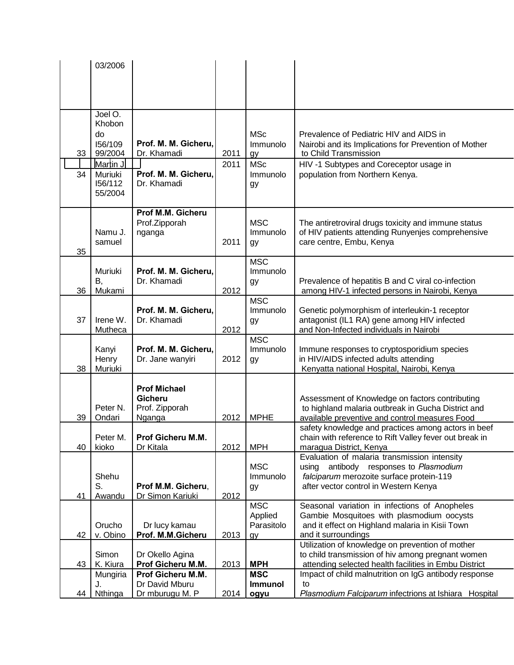|    | 03/2006            |                                     |      |                |                                                                                               |
|----|--------------------|-------------------------------------|------|----------------|-----------------------------------------------------------------------------------------------|
|    |                    |                                     |      |                |                                                                                               |
|    |                    |                                     |      |                |                                                                                               |
|    |                    |                                     |      |                |                                                                                               |
|    | Joel O.            |                                     |      |                |                                                                                               |
|    | Khobon             |                                     |      |                |                                                                                               |
|    | do                 |                                     |      | <b>MSc</b>     | Prevalence of Pediatric HIV and AIDS in                                                       |
|    | 156/109            | Prof. M. M. Gicheru,                |      | Immunolo       | Nairobi and its Implications for Prevention of Mother                                         |
| 33 | 99/2004            | Dr. Khamadi                         | 2011 | gy             | to Child Transmission                                                                         |
|    | Martin J.          |                                     | 2011 | <b>MSc</b>     | HIV -1 Subtypes and Coreceptor usage in                                                       |
| 34 | Muriuki<br>156/112 | Prof. M. M. Gicheru,<br>Dr. Khamadi |      | Immunolo       | population from Northern Kenya.                                                               |
|    | 55/2004            |                                     |      | gy             |                                                                                               |
|    |                    |                                     |      |                |                                                                                               |
|    |                    | Prof M.M. Gicheru                   |      |                |                                                                                               |
|    |                    | Prof.Zipporah                       |      | <b>MSC</b>     | The antiretroviral drugs toxicity and immune status                                           |
|    | Namu J.            | nganga                              |      | Immunolo       | of HIV patients attending Runyenjes comprehensive                                             |
| 35 | samuel             |                                     | 2011 | gy             | care centre, Embu, Kenya                                                                      |
|    |                    |                                     |      | <b>MSC</b>     |                                                                                               |
|    | Muriuki            | Prof. M. M. Gicheru,                |      | Immunolo       |                                                                                               |
|    | В,                 | Dr. Khamadi                         |      | gy             | Prevalence of hepatitis B and C viral co-infection                                            |
| 36 | Mukami             |                                     | 2012 |                | among HIV-1 infected persons in Nairobi, Kenya                                                |
|    |                    |                                     |      | <b>MSC</b>     |                                                                                               |
| 37 | Irene W.           | Prof. M. M. Gicheru,<br>Dr. Khamadi |      | Immunolo       | Genetic polymorphism of interleukin-1 receptor<br>antagonist (IL1 RA) gene among HIV infected |
|    | Mutheca            |                                     | 2012 | gy             | and Non-Infected individuals in Nairobi                                                       |
|    |                    |                                     |      | <b>MSC</b>     |                                                                                               |
|    | Kanyi              | Prof. M. M. Gicheru,                |      | Immunolo       | Immune responses to cryptosporidium species                                                   |
|    | Henry              | Dr. Jane wanyiri                    | 2012 | gy             | in HIV/AIDS infected adults attending                                                         |
| 38 | Muriuki            |                                     |      |                | Kenyatta national Hospital, Nairobi, Kenya                                                    |
|    |                    | <b>Prof Michael</b>                 |      |                |                                                                                               |
|    |                    | Gicheru                             |      |                | Assessment of Knowledge on factors contributing                                               |
|    | Peter N.           | Prof. Zipporah                      |      |                | to highland malaria outbreak in Gucha District and                                            |
| 39 | Ondari             | Nganga                              | 2012 | <b>MPHE</b>    | available preventive and control measures Food                                                |
|    |                    |                                     |      |                | safety knowledge and practices among actors in beef                                           |
|    | Peter M.           | Prof Gicheru M.M.                   |      |                | chain with reference to Rift Valley fever out break in                                        |
| 40 | kioko              | Dr Kitala                           | 2012 | <b>MPH</b>     | maragua District, Kenya<br>Evaluation of malaria transmission intensity                       |
|    |                    |                                     |      | <b>MSC</b>     | antibody responses to Plasmodium<br>using                                                     |
|    | Shehu              |                                     |      | Immunolo       | falciparum merozoite surface protein-119                                                      |
|    | S.                 | Prof M.M. Gicheru,                  |      | gу             | after vector control in Western Kenya                                                         |
| 41 | Awandu             | Dr Simon Kariuki                    | 2012 |                |                                                                                               |
|    |                    |                                     |      | <b>MSC</b>     | Seasonal variation in infections of Anopheles                                                 |
|    |                    |                                     |      | Applied        | Gambie Mosquitoes with plasmodium oocysts                                                     |
| 42 | Orucho<br>v. Obino | Dr lucy kamau<br>Prof. M.M.Gicheru  | 2013 | Parasitolo     | and it effect on Highland malaria in Kisii Town<br>and it surroundings                        |
|    |                    |                                     |      | gy             | Utilization of knowledge on prevention of mother                                              |
|    | Simon              | Dr Okello Agina                     |      |                | to child transmission of hiv among pregnant women                                             |
| 43 | K. Kiura           | Prof Gicheru M.M.                   | 2013 | <b>MPH</b>     | attending selected health facilities in Embu District                                         |
|    | Mungiria           | Prof Gicheru M.M.                   |      | <b>MSC</b>     | Impact of child malnutrition on IgG antibody response                                         |
|    | J.                 | Dr David Mburu                      |      | <b>Immunol</b> | to                                                                                            |
| 44 | Nthinga            | Dr mburugu M. P                     | 2014 | ogyu           | Plasmodium Falciparum infectrions at Ishiara Hospital                                         |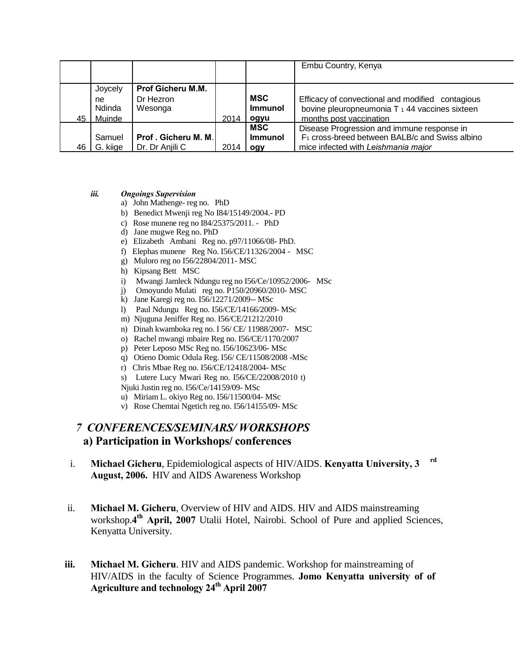|    |              |                          |      |                              | Embu Country, Kenya                                                                                |
|----|--------------|--------------------------|------|------------------------------|----------------------------------------------------------------------------------------------------|
|    | Joycely      | <b>Prof Gicheru M.M.</b> |      |                              |                                                                                                    |
|    | ne<br>Ndinda | Dr Hezron<br>Wesonga     |      | <b>MSC</b><br><b>Immunol</b> | Efficacy of convectional and modified contagious<br>bovine pleuropneumonia T 1 44 vaccines sixteen |
| 45 | Muinde       |                          | 2014 | ogyu                         | months post vaccination                                                                            |
|    |              |                          |      | <b>MSC</b>                   | Disease Progression and immune response in                                                         |
|    | Samuel       | Prof. Gicheru M. M.      |      | <b>Immunol</b>               | F <sub>1</sub> cross-breed between BALB/c and Swiss albino                                         |
| 46 | G. kiige     | Dr. Dr Anjili C          | 2014 | ogy                          | mice infected with Leishmania major                                                                |

#### *iii. Ongoings Supervision*

- a) John Mathenge- reg no. PhD
- b) Benedict Mwenji reg No I84/15149/2004.- PD
- c) Rose munene reg no I84/25375/2011. PhD
- d) Jane mugwe Reg no. PhD
- e) Elizabeth Ambani Reg no. p97/11066/08- PhD.
- f) Elephas munene Reg No. I56/CE/11326/2004 MSC
- g) Muloro reg no I56/22804/2011- MSC
- h) Kipsang Bett MSC
- i) Mwangi Jamleck Ndungu reg no I56/Ce/10952/2006- MSc
- j) Omoyundo Mulati reg no. P150/20960/2010- MSC
- k) Jane Karegi reg no. I56/12271/2009-- MSc
- l) Paul Ndungu Reg no. I56/CE/14166/2009- MSc
- m) Njuguna Jeniffer Reg no. I56/CE/21212/2010
- n) Dinah kwamboka reg no. I 56/ CE/ 11988/2007- MSC
- o) Rachel mwangi mbaire Reg no. I56/CE/1170/2007
- p) Peter Leposo MSc Reg no. I56/10623/06- MSc
- q) Otieno Domic Odula Reg. I56/ CE/11508/2008 -MSc
- r) Chris Mbae Reg no. I56/CE/12418/2004- MSc
- s) Lutere Lucy Mwari Reg no. I56/CE/22008/2010 t)
- Njuki Justin reg no. I56/Ce/14159/09- MSc
- u) Miriam L. okiyo Reg no. I56/11500/04- MSc
- v) Rose Chemtai Ngetich reg no. I56/14155/09- MSc

## *7 CONFERENCES/SEMINARS/ WORKSHOPS*  **a) Participation in Workshops/ conferences**

- i. **Michael Gicheru**, Epidemiological aspects of HIV/AIDS. **Kenyatta University, 3 rd August, 2006.** HIV and AIDS Awareness Workshop
- ii. **Michael M. Gicheru**, Overview of HIV and AIDS. HIV and AIDS mainstreaming workshop.**4 th April, 2007** Utalii Hotel, Nairobi. School of Pure and applied Sciences, Kenyatta University.
- **iii. Michael M. Gicheru**. HIV and AIDS pandemic. Workshop for mainstreaming of HIV/AIDS in the faculty of Science Programmes. **Jomo Kenyatta university of of Agriculture and technology 24th April 2007**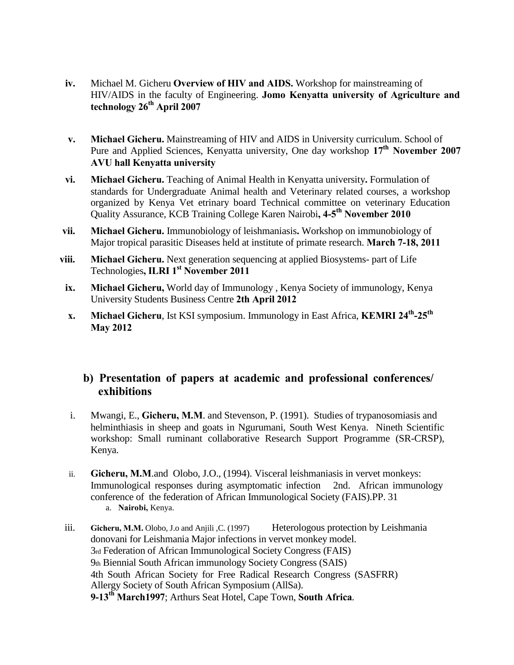- **iv.** Michael M. Gicheru **Overview of HIV and AIDS.** Workshop for mainstreaming of HIV/AIDS in the faculty of Engineering. **Jomo Kenyatta university of Agriculture and technology 26th April 2007**
- **v. Michael Gicheru.** Mainstreaming of HIV and AIDS in University curriculum. School of Pure and Applied Sciences, Kenyatta university, One day workshop **17th November 2007 AVU hall Kenyatta university**
- **vi. Michael Gicheru.** Teaching of Animal Health in Kenyatta university**.** Formulation of standards for Undergraduate Animal health and Veterinary related courses, a workshop organized by Kenya Vet etrinary board Technical committee on veterinary Education Quality Assurance, KCB Training College Karen Nairobi**, 4-5 th November 2010**
- **vii. Michael Gicheru.** Immunobiology of leishmaniasis**.** Workshop on immunobiology of Major tropical parasitic Diseases held at institute of primate research. **March 7-18, 2011**
- **viii. Michael Gicheru.** Next generation sequencing at applied Biosystems- part of Life Technologies**, ILRI 1st November 2011**
- **ix. Michael Gicheru,** World day of Immunology , Kenya Society of immunology, Kenya University Students Business Centre **2th April 2012**
- **x. Michael Gicheru**, Ist KSI symposium. Immunology in East Africa, **KEMRI 24th -25th May 2012**

## **b) Presentation of papers at academic and professional conferences/ exhibitions**

- i. Mwangi, E., **Gicheru, M.M**. and Stevenson, P. (1991). Studies of trypanosomiasis and helminthiasis in sheep and goats in Ngurumani, South West Kenya. Nineth Scientific workshop: Small ruminant collaborative Research Support Programme (SR-CRSP), Kenya.
- ii. **Gicheru, M.M**.and Olobo, J.O., (1994). Visceral leishmaniasis in vervet monkeys: Immunological responses during asymptomatic infection 2nd. African immunology conference of the federation of African Immunological Society (FAIS).PP. 31 a. **Nairobi,** Kenya.
- iii. **Gicheru, M.M.** Olobo, J.o and Anjili ,C. (1997) Heterologous protection by Leishmania donovani for Leishmania Major infections in vervet monkey model. 3rd Federation of African Immunological Society Congress (FAIS) 9th Biennial South African immunology Society Congress (SAIS) 4th South African Society for Free Radical Research Congress (SASFRR) Allergy Society of South African Symposium (AllSa). **9-13th March1997**; Arthurs Seat Hotel, Cape Town, **South Africa**.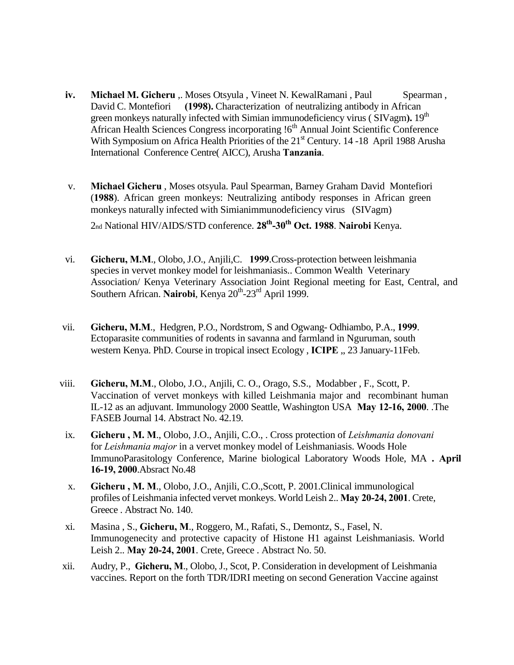- **iv. Michael M. Gicheru** ,. Moses Otsyula , Vineet N. KewalRamani , Paul Spearman, David C. Montefiori **(1998).** Characterization of neutralizing antibody in African green monkeys naturally infected with Simian immunodeficiency virus (SIVagm). 19<sup>th</sup> African Health Sciences Congress incorporating !6<sup>th</sup> Annual Joint Scientific Conference With Symposium on Africa Health Priorities of the 21<sup>st</sup> Century. 14 -18 April 1988 Arusha International Conference Centre( AICC), Arusha **Tanzania**.
- v. **Michael Gicheru** , Moses otsyula. Paul Spearman, Barney Graham David Montefiori (**1988**). African green monkeys: Neutralizing antibody responses in African green monkeys naturally infected with Simianimmunodeficiency virus (SIVagm) 2nd National HIV/AIDS/STD conference. **28th -30th Oct. 1988**. **Nairobi** Kenya.
- vi. **Gicheru, M.M**., Olobo, J.O., Anjili,C. **1999**.Cross-protection between leishmania species in vervet monkey model for leishmaniasis.. Common Wealth Veterinary Association/ Kenya Veterinary Association Joint Regional meeting for East, Central, and Southern African. Nairobi, Kenya 20<sup>th</sup>-23<sup>rd</sup> April 1999.
- vii. **Gicheru, M.M**., Hedgren, P.O., Nordstrom, S and Ogwang- Odhiambo, P.A., **1999**. Ectoparasite communities of rodents in savanna and farmland in Nguruman, south western Kenya. PhD. Course in tropical insect Ecology , **ICIPE** ,, 23 January-11Feb.
- viii. **Gicheru, M.M**., Olobo, J.O., Anjili, C. O., Orago, S.S., Modabber , F., Scott, P. Vaccination of vervet monkeys with killed Leishmania major and recombinant human IL-12 as an adjuvant. Immunology 2000 Seattle, Washington USA **May 12-16, 2000**. .The FASEB Journal 14. Abstract No. 42.19.
- ix. **Gicheru , M. M**., Olobo, J.O., Anjili, C.O., . Cross protection of *Leishmania donovani*  for *Leishmania major* in a vervet monkey model of Leishmaniasis. Woods Hole ImmunoParasitology Conference, Marine biological Laboratory Woods Hole, MA **. April 16-19, 2000**.Absract No.48
- x. **Gicheru , M. M**., Olobo, J.O., Anjili, C.O.,Scott, P. 2001.Clinical immunological profiles of Leishmania infected vervet monkeys. World Leish 2.. **May 20-24, 2001**. Crete, Greece . Abstract No. 140.
- xi. Masina , S., **Gicheru, M**., Roggero, M., Rafati, S., Demontz, S., Fasel, N. Immunogenecity and protective capacity of Histone H1 against Leishmaniasis. World Leish 2.. **May 20-24, 2001**. Crete, Greece . Abstract No. 50.
- xii. Audry, P., **Gicheru, M**., Olobo, J., Scot, P. Consideration in development of Leishmania vaccines. Report on the forth TDR/IDRI meeting on second Generation Vaccine against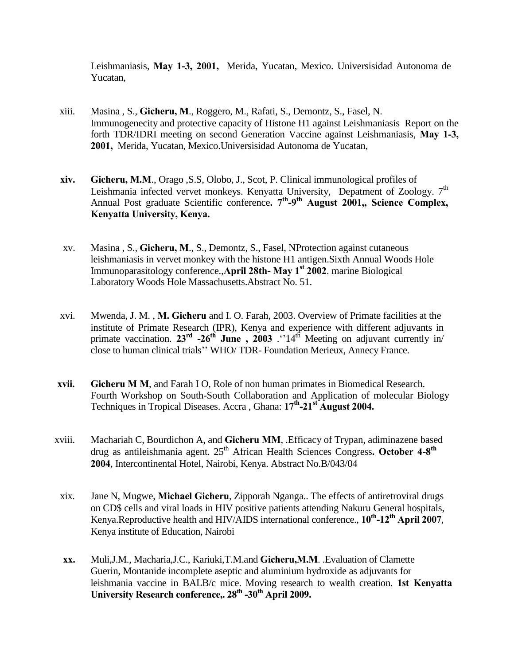Leishmaniasis, **May 1-3, 2001,** Merida, Yucatan, Mexico. Universisidad Autonoma de Yucatan,

- xiii. Masina , S., **Gicheru, M**., Roggero, M., Rafati, S., Demontz, S., Fasel, N. Immunogenecity and protective capacity of Histone H1 against Leishmaniasis Report on the forth TDR/IDRI meeting on second Generation Vaccine against Leishmaniasis, **May 1-3, 2001,** Merida, Yucatan, Mexico.Universisidad Autonoma de Yucatan,
- **xiv. Gicheru, M.M**., Orago ,S.S, Olobo, J., Scot, P. Clinical immunological profiles of Leishmania infected vervet monkeys. Kenyatta University, Depatment of Zoology. 7<sup>th</sup> Annual Post graduate Scientific conference. 7<sup>th</sup>-9<sup>th</sup> August 2001,, Science Complex, **Kenyatta University, Kenya.**
- xv. Masina , S., **Gicheru, M**., S., Demontz, S., Fasel, NProtection against cutaneous leishmaniasis in vervet monkey with the histone H1 antigen.Sixth Annual Woods Hole Immunoparasitology conference.,**April 28th- May 1st 2002**. marine Biological Laboratory Woods Hole Massachusetts.Abstract No. 51.
- xvi. Mwenda, J. M. , **M. Gicheru** and I. O. Farah, 2003. Overview of Primate facilities at the institute of Primate Research (IPR), Kenya and experience with different adjuvants in primate vaccination. 23<sup>rd</sup> -26<sup>th</sup> June, 2003. "14<sup>th</sup> Meeting on adjuvant currently in/ close to human clinical trials"" WHO/ TDR- Foundation Merieux, Annecy France.
- **xvii. Gicheru M M**, and Farah I O, Role of non human primates in Biomedical Research. Fourth Workshop on South-South Collaboration and Application of molecular Biology Techniques in Tropical Diseases. Accra , Ghana: **17th -21st August 2004.**
- xviii. Machariah C, Bourdichon A, and **Gicheru MM**, .Efficacy of Trypan, adiminazene based drug as antileishmania agent. 25<sup>th</sup> African Health Sciences Congress. October 4-8<sup>th</sup> **2004**, Intercontinental Hotel, Nairobi, Kenya. Abstract No.B/043/04
	- xix. Jane N, Mugwe, **Michael Gicheru**, Zipporah Nganga.. The effects of antiretroviral drugs on CD\$ cells and viral loads in HIV positive patients attending Nakuru General hospitals, Kenya.Reproductive health and HIV/AIDS international conference., **10th -12th April 2007**, Kenya institute of Education, Nairobi
	- **xx.** Muli,J.M., Macharia,J.C., Kariuki,T.M.and **Gicheru,M.M**. .Evaluation of Clamette Guerin, Montanide incomplete aseptic and aluminium hydroxide as adjuvants for leishmania vaccine in BALB/c mice. Moving research to wealth creation. **1st Kenyatta University Research conference,. 28th -30th April 2009.**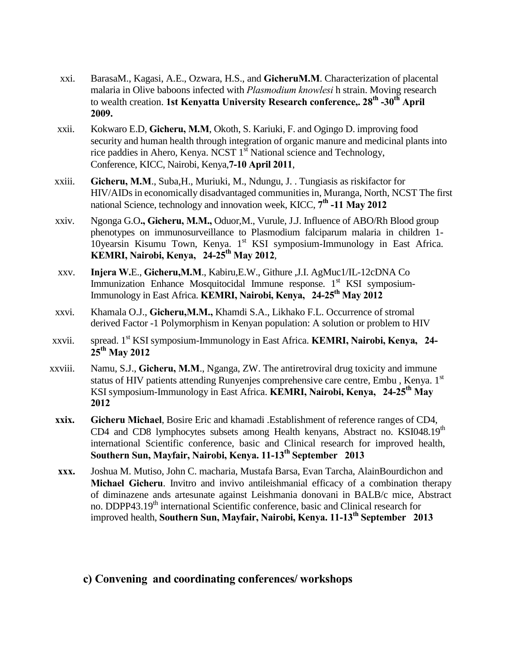- xxi. BarasaM., Kagasi, A.E., Ozwara, H.S., and **GicheruM.M**. Characterization of placental malaria in Olive baboons infected with *Plasmodium knowlesi* h strain. Moving research to wealth creation. **1st Kenyatta University Research conference,. 28th -30th April 2009.**
- xxii. Kokwaro E.D, **Gicheru, M.M**, Okoth, S. Kariuki, F. and Ogingo D. improving food security and human health through integration of organic manure and medicinal plants into rice paddies in Ahero, Kenya. NCST  $1<sup>st</sup>$  National science and Technology, Conference, KICC, Nairobi, Kenya,**7-10 April 2011**,
- xxiii. **Gicheru, M.M**., Suba,H., Muriuki, M., Ndungu, J. . Tungiasis as riskifactor for HIV/AIDs in economically disadvantaged communities in, Muranga, North, NCST The first national Science, technology and innovation week, KICC, **7 th -11 May 2012**
- xxiv. Ngonga G.O**., Gicheru, M.M.,** Oduor,M., Vurule, J.J. Influence of ABO/Rh Blood group phenotypes on immunosurveillance to Plasmodium falciparum malaria in children 1- 10yearsin Kisumu Town, Kenya. 1<sup>st</sup> KSI symposium-Immunology in East Africa. **KEMRI, Nairobi, Kenya, 24-25th May 2012**,
- xxv. **Injera W.**E., **Gicheru,M.M**., Kabiru,E.W., Githure ,J.I. AgMuc1/IL-12cDNA Co Immunization Enhance Mosquitocidal Immune response.  $1<sup>st</sup>$  KSI symposium-Immunology in East Africa. **KEMRI, Nairobi, Kenya, 24-25th May 2012**
- xxvi. Khamala O.J., **Gicheru,M.M.,** Khamdi S.A., Likhako F.L. Occurrence of stromal derived Factor -1 Polymorphism in Kenyan population: A solution or problem to HIV
- xxvii. spread. 1st KSI symposium-Immunology in East Africa. **KEMRI, Nairobi, Kenya, 24- 25th May 2012**
- xxviii. Namu, S.J., **Gicheru, M.M**., Nganga, ZW. The antiretroviral drug toxicity and immune status of HIV patients attending Runyenjes comprehensive care centre, Embu, Kenya. 1<sup>st</sup> KSI symposium-Immunology in East Africa. **KEMRI, Nairobi, Kenya, 24-25th May 2012**
- **xxix. Gicheru Michael**, Bosire Eric and khamadi .Establishment of reference ranges of CD4, CD4 and CD8 lymphocytes subsets among Health kenyans, Abstract no. KSI048.19<sup>th</sup> international Scientific conference, basic and Clinical research for improved health, **Southern Sun, Mayfair, Nairobi, Kenya. 11-13th September 2013**
- **xxx.** Joshua M. Mutiso, John C. macharia, Mustafa Barsa, Evan Tarcha, AlainBourdichon and **Michael Gicheru**. Invitro and invivo antileishmanial efficacy of a combination therapy of diminazene ands artesunate against Leishmania donovani in BALB/c mice, Abstract no. DDPP43.19<sup>th</sup> international Scientific conference, basic and Clinical research for improved health, **Southern Sun, Mayfair, Nairobi, Kenya. 11-13th September 2013**

### **c) Convening and coordinating conferences/ workshops**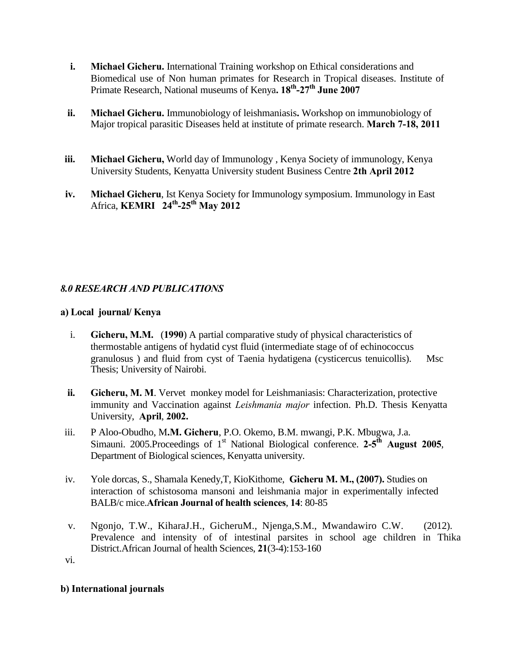- **i. Michael Gicheru.** International Training workshop on Ethical considerations and Biomedical use of Non human primates for Research in Tropical diseases. Institute of Primate Research, National museums of Kenya**. 18th -27th June 2007**
- **ii. Michael Gicheru.** Immunobiology of leishmaniasis**.** Workshop on immunobiology of Major tropical parasitic Diseases held at institute of primate research. **March 7-18, 2011**
- **iii. Michael Gicheru,** World day of Immunology , Kenya Society of immunology, Kenya University Students, Kenyatta University student Business Centre **2th April 2012**
- **iv. Michael Gicheru**, Ist Kenya Society for Immunology symposium. Immunology in East Africa, **KEMRI 24th -25th May 2012**

### *8.0 RESEARCH AND PUBLICATIONS*

### **a) Local journal/ Kenya**

- i. **Gicheru, M.M.** (**1990**) A partial comparative study of physical characteristics of thermostable antigens of hydatid cyst fluid (intermediate stage of of echinococcus granulosus ) and fluid from cyst of Taenia hydatigena (cysticercus tenuicollis). Msc Thesis; University of Nairobi.
- **ii. Gicheru, M. M**. Vervet monkey model for Leishmaniasis: Characterization, protective immunity and Vaccination against *Leishmania major* infection. Ph.D. Thesis Kenyatta University, **April**, **2002.**
- iii. P Aloo-Obudho, M**.M. Gicheru**, P.O. Okemo, B.M. mwangi, P.K. Mbugwa, J.a. Simauni. 2005.Proceedings of 1<sup>st</sup> National Biological conference. 2-5<sup>th</sup> August 2005, Department of Biological sciences, Kenyatta university.
- iv. Yole dorcas, S., Shamala Kenedy,T, KioKithome, **Gicheru M. M., (2007).** Studies on interaction of schistosoma mansoni and leishmania major in experimentally infected BALB/c mice.**African Journal of health sciences**, **14**: 80-85
- v. Ngonjo, T.W., KiharaJ.H., GicheruM., Njenga,S.M., Mwandawiro C.W. (2012). Prevalence and intensity of of intestinal parsites in school age children in Thika District.African Journal of health Sciences, **21**(3-4):153-160

vi.

### **b) International journals**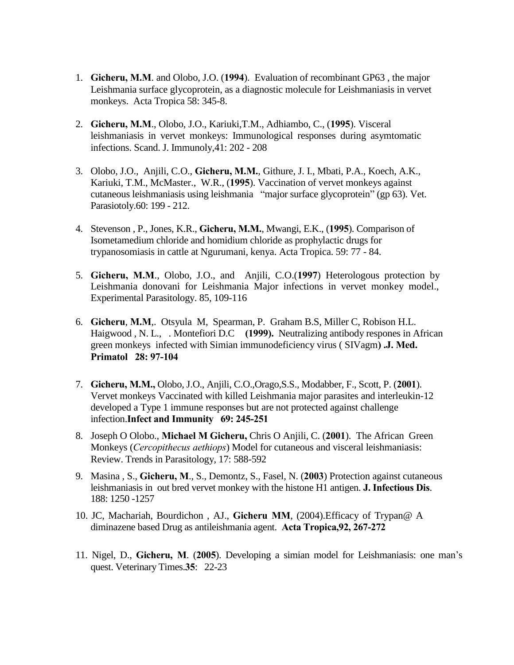- 1. **Gicheru, M.M**. and Olobo, J.O. (**1994**). Evaluation of recombinant GP63 , the major Leishmania surface glycoprotein, as a diagnostic molecule for Leishmaniasis in vervet monkeys. Acta Tropica 58: 345-8.
- 2. **Gicheru, M.M**., Olobo, J.O., Kariuki,T.M., Adhiambo, C., (**1995**). Visceral leishmaniasis in vervet monkeys: Immunological responses during asymtomatic infections. Scand. J. Immunoly,41: 202 - 208
- 3. Olobo, J.O., Anjili, C.O., **Gicheru, M.M.**, Githure, J. I., Mbati, P.A., Koech, A.K., Kariuki, T.M., McMaster., W.R., (**1995**). Vaccination of vervet monkeys against cutaneous leishmaniasis using leishmania "major surface glycoprotein" (gp 63). Vet. Parasiotoly.60: 199 - 212.
- 4. Stevenson , P., Jones, K.R., **Gicheru, M.M.**, Mwangi, E.K., (**1995**). Comparison of Isometamedium chloride and homidium chloride as prophylactic drugs for trypanosomiasis in cattle at Ngurumani, kenya. Acta Tropica. 59: 77 - 84.
- 5. **Gicheru, M.M**., Olobo, J.O., and Anjili, C.O.(**1997**) Heterologous protection by Leishmania donovani for Leishmania Major infections in vervet monkey model., Experimental Parasitology. 85, 109-116
- 6. **Gicheru**, **M.M**,. Otsyula M, Spearman, P. Graham B.S, Miller C, Robison H.L. Haigwood , N. L., . Montefiori D.C **(1999).** Neutralizing antibody respones in African green monkeys infected with Simian immunodeficiency virus ( SIVagm**) .J. Med. Primatol 28: 97-104**
- 7. **Gicheru, M.M.,** Olobo, J.O., Anjili, C.O.,Orago,S.S., Modabber, F., Scott, P. (**2001**). Vervet monkeys Vaccinated with killed Leishmania major parasites and interleukin-12 developed a Type 1 immune responses but are not protected against challenge infection.**Infect and Immunity 69: 245-251**
- 8. Joseph O Olobo., **Michael M Gicheru,** Chris O Anjili, C. (**2001**). The African Green Monkeys (*Cercopithecus aethiops*) Model for cutaneous and visceral leishmaniasis: Review. Trends in Parasitology, 17: 588-592
- 9. Masina , S., **Gicheru, M**., S., Demontz, S., Fasel, N. (**2003**) Protection against cutaneous leishmaniasis in out bred vervet monkey with the histone H1 antigen. **J. Infectious Dis**. 188: 1250 -1257
- 10. JC, Machariah, Bourdichon , AJ., **Gicheru MM**, (2004).Efficacy of Trypan@ A diminazene based Drug as antileishmania agent. **Acta Tropica,92, 267-272**
- 11. Nigel, D., **Gicheru, M**. (**2005**). Developing a simian model for Leishmaniasis: one man"s quest. Veterinary Times.**35**: 22-23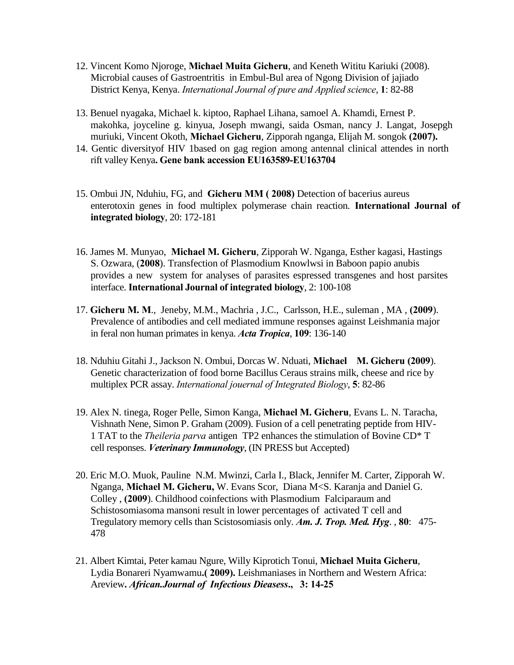- 12. Vincent Komo Njoroge, **Michael Muita Gicheru**, and Keneth Wititu Kariuki (2008). Microbial causes of Gastroentritis in Embul-Bul area of Ngong Division of jajiado District Kenya, Kenya. *International Journal of pure and Applied science*, **1**: 82-88
- 13. Benuel nyagaka, Michael k. kiptoo, Raphael Lihana, samoel A. Khamdi, Ernest P. makohka, joyceline g. kinyua, Joseph mwangi, saida Osman, nancy J. Langat, Josepgh muriuki, Vincent Okoth, **Michael Gicheru**, Zipporah nganga, Elijah M. songok **(2007).**
- 14. Gentic diversityof HIV 1based on gag region among antennal clinical attendes in north rift valley Kenya**. Gene bank accession EU163589-EU163704**
- 15. Ombui JN, Nduhiu, FG, and **Gicheru MM ( 2008)** Detection of bacerius aureus enterotoxin genes in food multiplex polymerase chain reaction. **International Journal of integrated biology**, 20: 172-181
- 16. James M. Munyao, **Michael M. Gicheru**, Zipporah W. Nganga, Esther kagasi, Hastings S. Ozwara, (**2008**). Transfection of Plasmodium Knowlwsi in Baboon papio anubis provides a new system for analyses of parasites espressed transgenes and host parsites interface. **International Journal of integrated biology**, 2: 100-108
- 17. **Gicheru M. M**., Jeneby, M.M., Machria , J.C., Carlsson, H.E., suleman , MA , **(2009**). Prevalence of antibodies and cell mediated immune responses against Leishmania major in feral non human primates in kenya. *Acta Tropica*, **109**: 136-140
- 18. Nduhiu Gitahi J., Jackson N. Ombui, Dorcas W. Nduati, **Michael M. Gicheru (2009**). Genetic characterization of food borne Bacillus Ceraus strains milk, cheese and rice by multiplex PCR assay. *International jouernal of Integrated Biology*, **5**: 82-86
- 19. Alex N. tinega, Roger Pelle, Simon Kanga, **Michael M. Gicheru**, Evans L. N. Taracha, Vishnath Nene, Simon P. Graham (2009). Fusion of a cell penetrating peptide from HIV-1 TAT to the *Theileria parva* antigen TP2 enhances the stimulation of Bovine CD\* T cell responses. *Veterinary Immunology*, (IN PRESS but Accepted)
- 20. Eric M.O. Muok, Pauline N.M. Mwinzi, Carla I., Black, Jennifer M. Carter, Zipporah W. Nganga, **Michael M. Gicheru,** W. Evans Scor, Diana M<S. Karanja and Daniel G. Colley , **(2009**). Childhood coinfections with Plasmodium Falciparaum and Schistosomiasoma mansoni result in lower percentages of activated T cell and Tregulatory memory cells than Scistosomiasis only. *Am. J. Trop. Med. Hyg*. , **80**: 475- 478
- 21. Albert Kimtai, Peter kamau Ngure, Willy Kiprotich Tonui, **Michael Muita Gicheru**, Lydia Bonareri Nyamwamu**.( 2009).** Leishmaniases in Northern and Western Africa: Areview**.** *African.Journal of Infectious Dieasess***., 3: 14-25**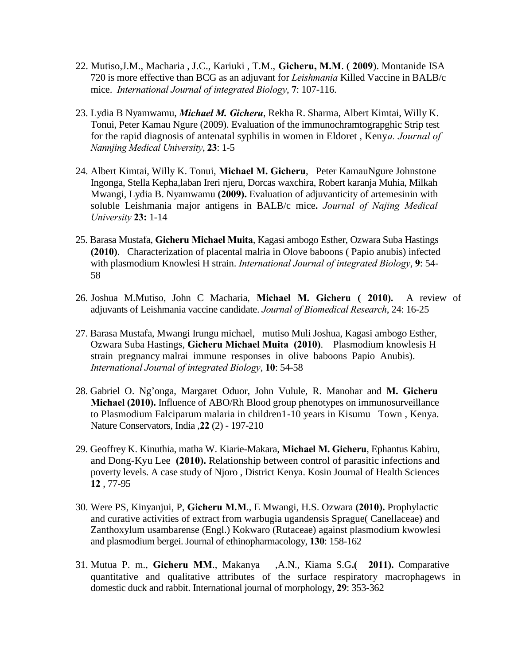- 22. Mutiso,J.M., Macharia , J.C., Kariuki , T.M., **Gicheru, M.M**. **( 2009**). Montanide ISA 720 is more effective than BCG as an adjuvant for *Leishmania* Killed Vaccine in BALB/c mice. *International Journal of integrated Biology*, **7**: 107-116.
- 23. Lydia B Nyamwamu, *Michael M. Gicheru*, Rekha R. Sharma, Albert Kimtai, Willy K. Tonui, Peter Kamau Ngure (2009). Evaluation of the immunochramtograpghic Strip test for the rapid diagnosis of antenatal syphilis in women in Eldoret , Keny*a. Journal of Nannjing Medical University*, **23**: 1-5
- 24. Albert Kimtai, Willy K. Tonui, **Michael M. Gicheru**, Peter KamauNgure Johnstone Ingonga, Stella Kepha,laban Ireri njeru, Dorcas waxchira, Robert karanja Muhia, Milkah Mwangi, Lydia B. Nyamwamu **(2009).** Evaluation of adjuvanticity of artemesinin with soluble Leishmania major antigens in BALB/c mice**.** *Journal of Najing Medical University* **23:** 1-14
- 25. Barasa Mustafa, **Gicheru Michael Muita**, Kagasi ambogo Esther, Ozwara Suba Hastings **(2010)**. Characterization of placental malria in Olove baboons ( Papio anubis) infected with plasmodium Knowlesi H strain. *International Journal of integrated Biology*, **9**: 54- 58
- 26. Joshua M.Mutiso, John C Macharia, **Michael M. Gicheru ( 2010).** A review of adjuvants of Leishmania vaccine candidate. *Journal of Biomedical Research*, 24: 16-25
- 27. Barasa Mustafa, Mwangi Irungu michael, mutiso Muli Joshua, Kagasi ambogo Esther, Ozwara Suba Hastings, **Gicheru Michael Muita (2010)**. Plasmodium knowlesis H strain pregnancy malrai immune responses in olive baboons Papio Anubis). *International Journal of integrated Biology*, **10**: 54-58
- 28. Gabriel O. Ng"onga, Margaret Oduor, John Vulule, R. Manohar and **M. Gicheru Michael (2010).** Influence of ABO/Rh Blood group phenotypes on immunosurveillance to Plasmodium Falciparum malaria in children1-10 years in Kisumu Town , Kenya. Nature Conservators, India ,**22** (2) - 197-210
- 29. Geoffrey K. Kinuthia, matha W. Kiarie-Makara, **Michael M. Gicheru**, Ephantus Kabiru, and Dong-Kyu Lee **(2010).** Relationship between control of parasitic infections and poverty levels. A case study of Njoro , District Kenya. Kosin Journal of Health Sciences **12** , 77-95
- 30. Were PS, Kinyanjui, P, **Gicheru M.M**., E Mwangi, H.S. Ozwara **(2010).** Prophylactic and curative activities of extract from warbugia ugandensis Sprague( Canellaceae) and Zanthoxylum usambarense (Engl.) Kokwaro (Rutaceae) against plasmodium kwowlesi and plasmodium bergei. Journal of ethinopharmacology, **130**: 158-162
- 31. Mutua P. m., **Gicheru MM**., Makanya ,A.N., Kiama S.G**.( 2011).** Comparative quantitative and qualitative attributes of the surface respiratory macrophagews in domestic duck and rabbit. International journal of morphology, **29**: 353-362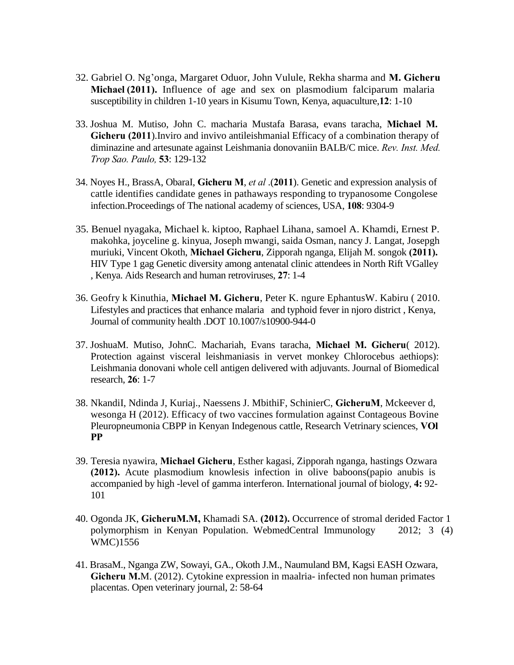- 32. Gabriel O. Ng"onga, Margaret Oduor, John Vulule, Rekha sharma and **M. Gicheru Michael (2011).** Influence of age and sex on plasmodium falciparum malaria susceptibility in children 1-10 years in Kisumu Town, Kenya, aquaculture,**12**: 1-10
- 33. Joshua M. Mutiso, John C. macharia Mustafa Barasa, evans taracha, **Michael M. Gicheru (2011**).Inviro and invivo antileishmanial Efficacy of a combination therapy of diminazine and artesunate against Leishmania donovaniin BALB/C mice. *Rev. Inst. Med. Trop Sao. Paulo,* **53**: 129-132
- 34. Noyes H., BrassA, ObaraI, **Gicheru M**, *et al* .(**2011**). Genetic and expression analysis of cattle identifies candidate genes in pathaways responding to trypanosome Congolese infection.Proceedings of The national academy of sciences, USA, **108**: 9304-9
- 35. Benuel nyagaka, Michael k. kiptoo, Raphael Lihana, samoel A. Khamdi, Ernest P. makohka, joyceline g. kinyua, Joseph mwangi, saida Osman, nancy J. Langat, Josepgh muriuki, Vincent Okoth, **Michael Gicheru**, Zipporah nganga, Elijah M. songok **(2011).**  HIV Type 1 gag Genetic diversity among antenatal clinic attendees in North Rift VGalley , Kenya. Aids Research and human retroviruses, **27**: 1-4
- 36. Geofry k Kinuthia, **Michael M. Gicheru**, Peter K. ngure EphantusW. Kabiru ( 2010. Lifestyles and practices that enhance malaria and typhoid fever in njoro district , Kenya, Journal of community health .DOT 10.1007/s10900-944-0
- 37. JoshuaM. Mutiso, JohnC. Machariah, Evans taracha, **Michael M. Gicheru**( 2012). Protection against visceral leishmaniasis in vervet monkey Chlorocebus aethiops): Leishmania donovani whole cell antigen delivered with adjuvants. Journal of Biomedical research, **26**: 1-7
- 38. NkandiI, Ndinda J, Kuriaj., Naessens J. MbithiF, SchinierC, **GicheruM**, Mckeever d, wesonga H (2012). Efficacy of two vaccines formulation against Contageous Bovine Pleuropneumonia CBPP in Kenyan Indegenous cattle, Research Vetrinary sciences, **VOl PP**
- 39. Teresia nyawira, **Michael Gicheru**, Esther kagasi, Zipporah nganga, hastings Ozwara **(2012).** Acute plasmodium knowlesis infection in olive baboons(papio anubis is accompanied by high -level of gamma interferon. International journal of biology, **4:** 92- 101
- 40. Ogonda JK, **GicheruM.M,** Khamadi SA. **(2012).** Occurrence of stromal derided Factor 1 polymorphism in Kenyan Population. WebmedCentral Immunology 2012; 3 (4) WMC)1556
- 41. BrasaM., Nganga ZW, Sowayi, GA., Okoth J.M., Naumuland BM, Kagsi EASH Ozwara, **Gicheru M.**M. (2012). Cytokine expression in maalria- infected non human primates placentas. Open veterinary journal, 2: 58-64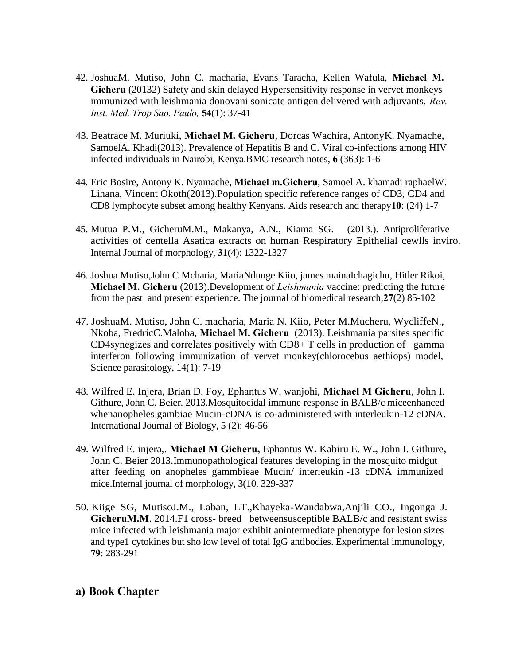- 42. JoshuaM. Mutiso, John C. macharia, Evans Taracha, Kellen Wafula, **Michael M. Gicheru** (20132) Safety and skin delayed Hypersensitivity response in vervet monkeys immunized with leishmania donovani sonicate antigen delivered with adjuvants. *Rev. Inst. Med. Trop Sao. Paulo,* **54**(1): 37-41
- 43. Beatrace M. Muriuki, **Michael M. Gicheru**, Dorcas Wachira, AntonyK. Nyamache, SamoelA. Khadi(2013). Prevalence of Hepatitis B and C. Viral co-infections among HIV infected individuals in Nairobi, Kenya.BMC research notes, **6** (363): 1-6
- 44. Eric Bosire, Antony K. Nyamache, **Michael m.Gicheru**, Samoel A. khamadi raphaelW. Lihana, Vincent Okoth(2013).Population specific reference ranges of CD3, CD4 and CD8 lymphocyte subset among healthy Kenyans. Aids research and therapy**10**: (24) 1-7
- 45. Mutua P.M., GicheruM.M., Makanya, A.N., Kiama SG. (2013.). Antiproliferative activities of centella Asatica extracts on human Respiratory Epithelial cewlls inviro. Internal Journal of morphology, **31**(4): 1322-1327
- 46. Joshua Mutiso,John C Mcharia, MariaNdunge Kiio, james mainaIchagichu, Hitler Rikoi, **Michael M. Gicheru** (2013).Development of *Leishmania* vaccine: predicting the future from the past and present experience. The journal of biomedical research,**27**(2) 85-102
- 47. JoshuaM. Mutiso, John C. macharia, Maria N. Kiio, Peter M.Mucheru, WycliffeN., Nkoba, FredricC.Maloba, **Michael M. Gicheru** (2013). Leishmania parsites specific CD4synegizes and correlates positively with CD8+ T cells in production of gamma interferon following immunization of vervet monkey(chlorocebus aethiops) model, Science parasitology, 14(1): 7-19
- 48. Wilfred E. Injera, Brian D. Foy, Ephantus W. wanjohi, **Michael M Gicheru**, John I. Githure, John C. Beier. 2013.Mosquitocidal immune response in BALB/c miceenhanced whenanopheles gambiae Mucin-cDNA is co-administered with interleukin-12 cDNA. International Journal of Biology, 5 (2): 46-56
- 49. Wilfred E. injera,. **Michael M Gicheru,** Ephantus W**.** Kabiru E. W**.,** John I. Githure**,**  John C. Beier 2013.Immunopathological features developing in the mosquito midgut after feeding on anopheles gammbieae Mucin/ interleukin -13 cDNA immunized mice.Internal journal of morphology, 3(10. 329-337
- 50. Kiige SG, MutisoJ.M., Laban, LT.,Khayeka-Wandabwa,Anjili CO., Ingonga J. **GicheruM.M**. 2014.F1 cross- breed betweensusceptible BALB/c and resistant swiss mice infected with leishmania major exhibit anintermediate phenotype for lesion sizes and type1 cytokines but sho low level of total IgG antibodies. Experimental immunology, **79**: 283-291

### **a) Book Chapter**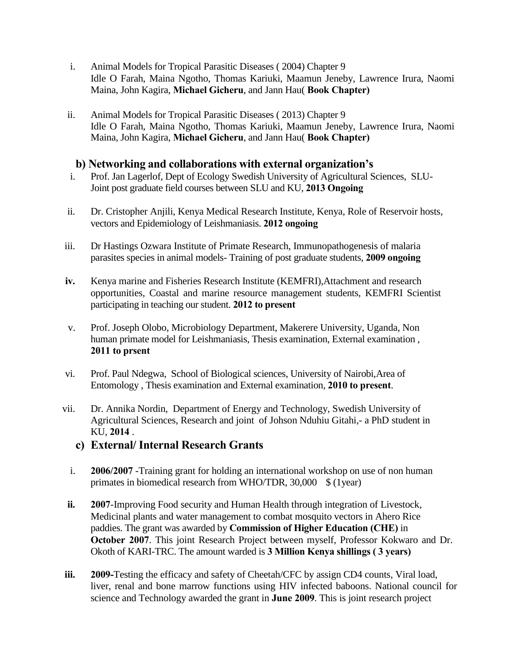- i. Animal Models for Tropical Parasitic Diseases ( 2004) Chapter 9 Idle O Farah, Maina Ngotho, Thomas Kariuki, Maamun Jeneby, Lawrence Irura, Naomi Maina, John Kagira, **Michael Gicheru**, and Jann Hau( **Book Chapter)**
- ii. Animal Models for Tropical Parasitic Diseases ( 2013) Chapter 9 Idle O Farah, Maina Ngotho, Thomas Kariuki, Maamun Jeneby, Lawrence Irura, Naomi Maina, John Kagira, **Michael Gicheru**, and Jann Hau( **Book Chapter)**

### **b) Networking and collaborations with external organization's**

- i. Prof. Jan Lagerlof, Dept of Ecology Swedish University of Agricultural Sciences, SLU-Joint post graduate field courses between SLU and KU, **2013 Ongoing**
- ii. Dr. Cristopher Anjili, Kenya Medical Research Institute, Kenya, Role of Reservoir hosts, vectors and Epidemiology of Leishmaniasis. **2012 ongoing**
- iii. Dr Hastings Ozwara Institute of Primate Research, Immunopathogenesis of malaria parasites species in animal models- Training of post graduate students, **2009 ongoing**
- **iv.** Kenya marine and Fisheries Research Institute (KEMFRI),Attachment and research opportunities, Coastal and marine resource management students, KEMFRI Scientist participating in teaching our student. **2012 to present**
- v. Prof. Joseph Olobo, Microbiology Department, Makerere University, Uganda, Non human primate model for Leishmaniasis, Thesis examination, External examination , **2011 to prsent**
- vi. Prof. Paul Ndegwa, School of Biological sciences, University of Nairobi,Area of Entomology , Thesis examination and External examination, **2010 to present**.
- vii. Dr. Annika Nordin, Department of Energy and Technology, Swedish University of Agricultural Sciences, Research and joint of Johson Nduhiu Gitahi,- a PhD student in KU, **2014** .
	- **c) External/ Internal Research Grants**
	- i. **2006/2007** -Training grant for holding an international workshop on use of non human primates in biomedical research from WHO/TDR, 30,000 \$ (1year)
- **ii. 2007**-Improving Food security and Human Health through integration of Livestock, Medicinal plants and water management to combat mosquito vectors in Ahero Rice paddies. The grant was awarded by **Commission of Higher Education (CHE)** in **October 2007**. This joint Research Project between myself, Professor Kokwaro and Dr. Okoth of KARI-TRC. The amount warded is **3 Million Kenya shillings ( 3 years)**
- **iii. 2009-**Testing the efficacy and safety of Cheetah/CFC by assign CD4 counts, Viral load, liver, renal and bone marrow functions using HIV infected baboons. National council for science and Technology awarded the grant in **June 2009**. This is joint research project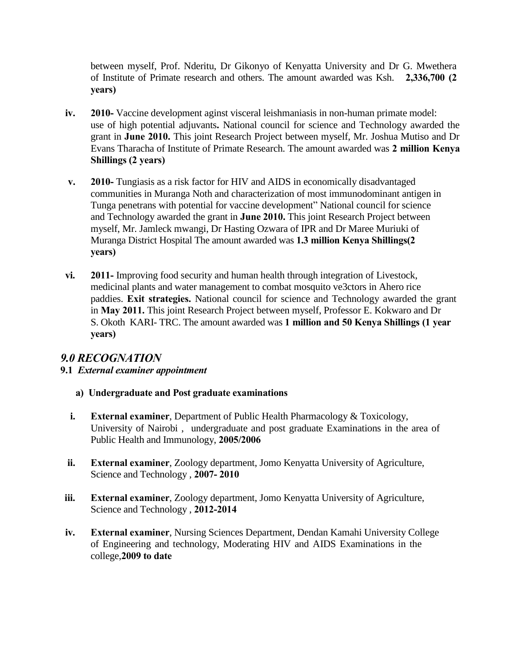between myself, Prof. Nderitu, Dr Gikonyo of Kenyatta University and Dr G. Mwethera of Institute of Primate research and others. The amount awarded was Ksh. **2,336,700 (2 years)** 

- **iv. 2010-** Vaccine development aginst visceral leishmaniasis in non-human primate model: use of high potential adjuvants**.** National council for science and Technology awarded the grant in **June 2010.** This joint Research Project between myself, Mr. Joshua Mutiso and Dr Evans Tharacha of Institute of Primate Research. The amount awarded was **2 million Kenya Shillings (2 years)**
- **v. 2010-** Tungiasis as a risk factor for HIV and AIDS in economically disadvantaged communities in Muranga Noth and characterization of most immunodominant antigen in Tunga penetrans with potential for vaccine development" National council for science and Technology awarded the grant in **June 2010.** This joint Research Project between myself, Mr. Jamleck mwangi, Dr Hasting Ozwara of IPR and Dr Maree Muriuki of Muranga District Hospital The amount awarded was **1.3 million Kenya Shillings(2 years)**
- **vi. 2011-** Improving food security and human health through integration of Livestock, medicinal plants and water management to combat mosquito ve3ctors in Ahero rice paddies. **Exit strategies.** National council for science and Technology awarded the grant in **May 2011.** This joint Research Project between myself, Professor E. Kokwaro and Dr S. Okoth KARI- TRC. The amount awarded was **1 million and 50 Kenya Shillings (1 year years)**

## *9.0 RECOGNATION*

### **9.1** *External examiner appointment*

- **a) Undergraduate and Post graduate examinations**
- **i. External examiner**, Department of Public Health Pharmacology & Toxicology, University of Nairobi , undergraduate and post graduate Examinations in the area of Public Health and Immunology, **2005/2006**
- **ii. External examiner**, Zoology department, Jomo Kenyatta University of Agriculture, Science and Technology , **2007- 2010**
- **iii. External examiner**, Zoology department, Jomo Kenyatta University of Agriculture, Science and Technology , **2012-2014**
- **iv. External examiner**, Nursing Sciences Department, Dendan Kamahi University College of Engineering and technology, Moderating HIV and AIDS Examinations in the college,**2009 to date**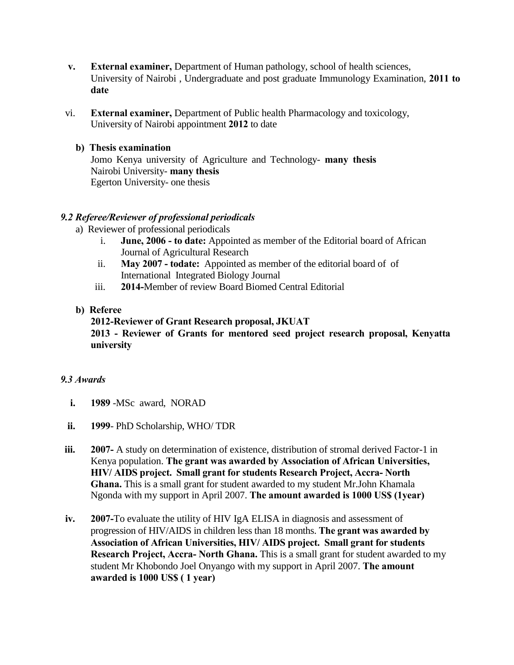- **v. External examiner,** Department of Human pathology, school of health sciences, University of Nairobi , Undergraduate and post graduate Immunology Examination, **2011 to date**
- vi. **External examiner,** Department of Public health Pharmacology and toxicology, University of Nairobi appointment **2012** to date

#### **b) Thesis examination**

Jomo Kenya university of Agriculture and Technology- **many thesis**  Nairobi University- **many thesis**  Egerton University- one thesis

### *9.2 Referee/Reviewer of professional periodicals*

- a) Reviewer of professional periodicals
	- i. **June, 2006 - to date:** Appointed as member of the Editorial board of African Journal of Agricultural Research
	- ii. **May 2007 - todate:** Appointed as member of the editorial board of of International Integrated Biology Journal
	- iii. **2014-**Member of review Board Biomed Central Editorial
- **b) Referee**

### **2012-Reviewer of Grant Research proposal, JKUAT 2013 - Reviewer of Grants for mentored seed project research proposal, Kenyatta university**

#### *9.3 Awards*

- **i. 1989** -MSc award, NORAD
- **ii. 1999** PhD Scholarship, WHO/ TDR
- **iii. 2007-** A study on determination of existence, distribution of stromal derived Factor-1 in Kenya population. **The grant was awarded by Association of African Universities, HIV/ AIDS project. Small grant for students Research Project, Accra- North Ghana.** This is a small grant for student awarded to my student Mr.John Khamala Ngonda with my support in April 2007. **The amount awarded is 1000 US\$ (1year)**
- **iv. 2007-**To evaluate the utility of HIV IgA ELISA in diagnosis and assessment of progression of HIV/AIDS in children less than 18 months. **The grant was awarded by Association of African Universities, HIV/ AIDS project. Small grant for students Research Project, Accra- North Ghana.** This is a small grant for student awarded to my student Mr Khobondo Joel Onyango with my support in April 2007. **The amount awarded is 1000 US\$ ( 1 year)**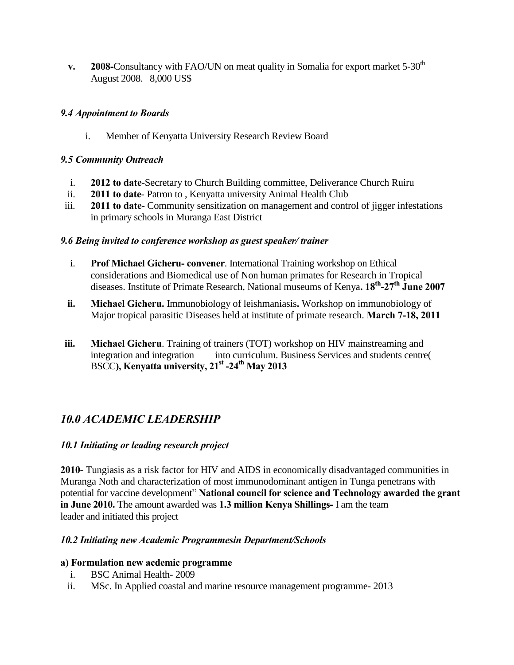**v. 2008-**Consultancy with FAO/UN on meat quality in Somalia for export market 5-30<sup>th</sup> August 2008. 8,000 US\$

### *9.4 Appointment to Boards*

i. Member of Kenyatta University Research Review Board

### *9.5 Community Outreach*

- i. **2012 to date**-Secretary to Church Building committee, Deliverance Church Ruiru
- ii. **2011 to date** Patron to , Kenyatta university Animal Health Club
- iii. **2011 to date** Community sensitization on management and control of jigger infestations in primary schools in Muranga East District

### *9.6 Being invited to conference workshop as guest speaker/ trainer*

- i. **Prof Michael Gicheru- convener**. International Training workshop on Ethical considerations and Biomedical use of Non human primates for Research in Tropical diseases. Institute of Primate Research, National museums of Kenya**. 18th -27th June 2007**
- **ii. Michael Gicheru.** Immunobiology of leishmaniasis**.** Workshop on immunobiology of Major tropical parasitic Diseases held at institute of primate research. **March 7-18, 2011**
- **iii. Michael Gicheru**. Training of trainers (TOT) workshop on HIV mainstreaming and integration and integration into curriculum. Business Services and students centre( BSCC**), Kenyatta university, 21st -24th May 2013**

# *10.0 ACADEMIC LEADERSHIP*

### *10.1 Initiating or leading research project*

**2010-** Tungiasis as a risk factor for HIV and AIDS in economically disadvantaged communities in Muranga Noth and characterization of most immunodominant antigen in Tunga penetrans with potential for vaccine development" **National council for science and Technology awarded the grant in June 2010.** The amount awarded was **1.3 million Kenya Shillings-** I am the team leader and initiated this project

### *10.2 Initiating new Academic Programmesin Department/Schools*

### **a) Formulation new acdemic programme**

- i. BSC Animal Health- 2009
- ii. MSc. In Applied coastal and marine resource management programme- 2013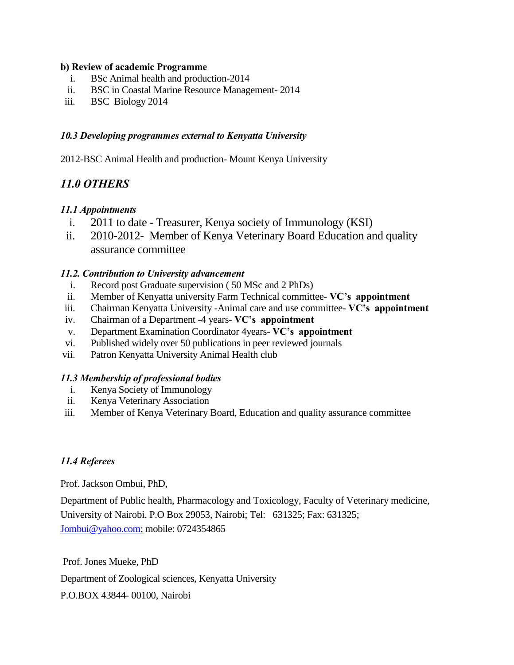#### **b) Review of academic Programme**

- i. BSc Animal health and production-2014
- ii. BSC in Coastal Marine Resource Management- 2014
- iii. BSC Biology 2014

### *10.3 Developing programmes external to Kenyatta University*

2012-BSC Animal Health and production- Mount Kenya University

## *11.0 OTHERS*

### *11.1 Appointments*

- i. 2011 to date Treasurer, Kenya society of Immunology (KSI)
- ii. 2010-2012- Member of Kenya Veterinary Board Education and quality assurance committee

### *11.2. Contribution to University advancement*

- i. Record post Graduate supervision ( 50 MSc and 2 PhDs)
- ii. Member of Kenyatta university Farm Technical committee- **VC's appointment**
- iii. Chairman Kenyatta University -Animal care and use committee- **VC's appointment**
- iv. Chairman of a Department -4 years- **VC's appointment**
- v. Department Examination Coordinator 4years- **VC's appointment**
- vi. Published widely over 50 publications in peer reviewed journals
- vii. Patron Kenyatta University Animal Health club

### *11.3 Membership of professional bodies*

- i. Kenya Society of Immunology
- ii. Kenya Veterinary Association
- iii. Member of Kenya Veterinary Board, Education and quality assurance committee

### *11.4 Referees*

Prof. Jackson Ombui, PhD,

Department of Public health, Pharmacology and Toxicology, Faculty of Veterinary medicine, University of Nairobi. P.O Box 29053, Nairobi; Tel: 631325; Fax: 631325; [Jombui@yahoo.com;](mailto:Jombui@yahoo.com) mobile: 0724354865

Prof. Jones Mueke, PhD Department of Zoological sciences, Kenyatta University P.O.BOX 43844- 00100, Nairobi